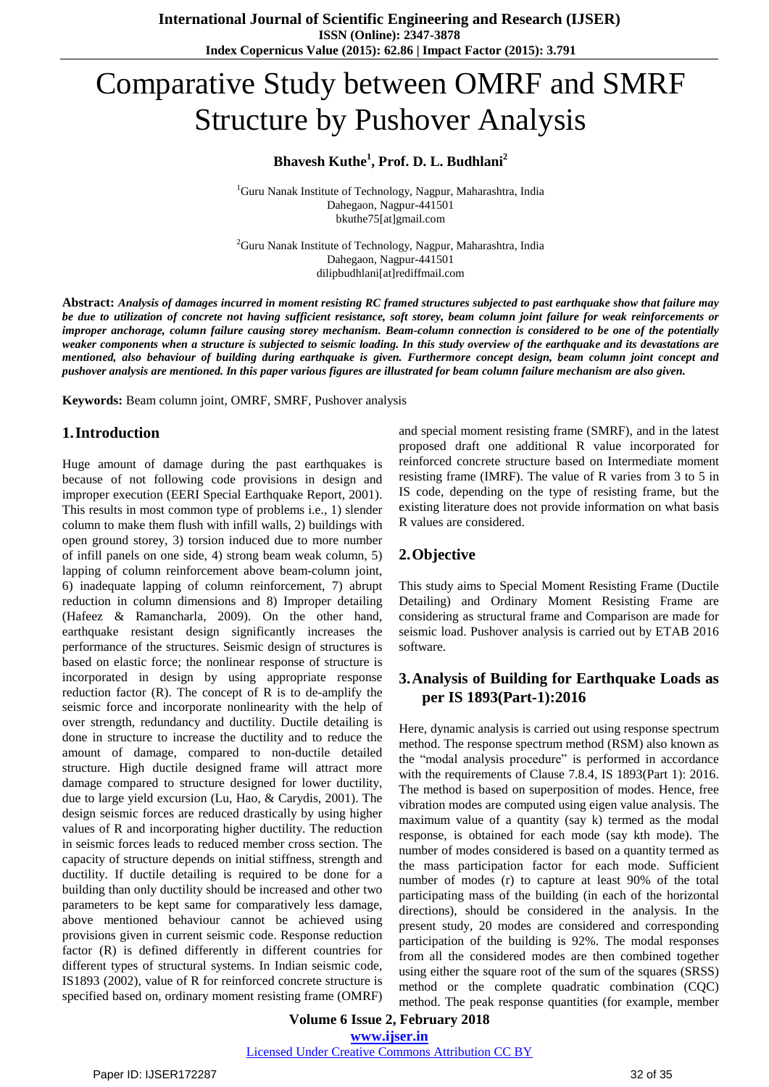# Comparative Study between OMRF and SMRF Structure by Pushover Analysis

## **Bhavesh Kuthe<sup>1</sup> , Prof. D. L. Budhlani<sup>2</sup>**

<sup>1</sup>Guru Nanak Institute of Technology, Nagpur, Maharashtra, India Dahegaon, Nagpur-441501 bkuthe75[at]gmail.com

<sup>2</sup>Guru Nanak Institute of Technology, Nagpur, Maharashtra, India Dahegaon, Nagpur-441501 dilipbudhlani[at]rediffmail.com

Abstract: Analysis of damages incurred in moment resisting RC framed structures subjected to past earthquake show that failure may be due to utilization of concrete not having sufficient resistance, soft storey, beam column joint failure for weak reinforcements or improper anchorage, column failure causing storey mechanism. Beam-column connection is considered to be one of the potentially weaker components when a structure is subjected to seismic loading. In this study overview of the earthquake and its devastations are mentioned, also behaviour of building during earthquake is given. Furthermore concept design, beam column joint concept and pushover analysis are mentioned. In this paper various figures are illustrated for beam column failure mechanism are also given.

**Keywords:** Beam column joint, OMRF, SMRF, Pushover analysis

#### **1.Introduction**

Huge amount of damage during the past earthquakes is because of not following code provisions in design and improper execution (EERI Special Earthquake Report, 2001). This results in most common type of problems i.e., 1) slender column to make them flush with infill walls, 2) buildings with open ground storey, 3) torsion induced due to more number of infill panels on one side, 4) strong beam weak column, 5) lapping of column reinforcement above beam-column joint, 6) inadequate lapping of column reinforcement, 7) abrupt reduction in column dimensions and 8) Improper detailing (Hafeez & Ramancharla, 2009). On the other hand, earthquake resistant design significantly increases the performance of the structures. Seismic design of structures is based on elastic force; the nonlinear response of structure is incorporated in design by using appropriate response reduction factor  $(R)$ . The concept of R is to de-amplify the seismic force and incorporate nonlinearity with the help of over strength, redundancy and ductility. Ductile detailing is done in structure to increase the ductility and to reduce the amount of damage, compared to non-ductile detailed structure. High ductile designed frame will attract more damage compared to structure designed for lower ductility, due to large yield excursion (Lu, Hao, & Carydis, 2001). The design seismic forces are reduced drastically by using higher values of R and incorporating higher ductility. The reduction in seismic forces leads to reduced member cross section. The capacity of structure depends on initial stiffness, strength and ductility. If ductile detailing is required to be done for a building than only ductility should be increased and other two parameters to be kept same for comparatively less damage, above mentioned behaviour cannot be achieved using provisions given in current seismic code. Response reduction factor (R) is defined differently in different countries for different types of structural systems. In Indian seismic code, IS1893 (2002), value of R for reinforced concrete structure is specified based on, ordinary moment resisting frame (OMRF)

and special moment resisting frame (SMRF), and in the latest proposed draft one additional R value incorporated for reinforced concrete structure based on Intermediate moment resisting frame (IMRF). The value of R varies from 3 to 5 in IS code, depending on the type of resisting frame, but the existing literature does not provide information on what basis R values are considered.

### **2.Objective**

This study aims to Special Moment Resisting Frame (Ductile Detailing) and Ordinary Moment Resisting Frame are considering as structural frame and Comparison are made for seismic load. Pushover analysis is carried out by ETAB 2016 software.

## **3.Analysis of Building for Earthquake Loads as per IS 1893(Part-1):2016**

Here, dynamic analysis is carried out using response spectrum method. The response spectrum method (RSM) also known as the "modal analysis procedure" is performed in accordance with the requirements of Clause 7.8.4, IS 1893(Part 1): 2016. The method is based on superposition of modes. Hence, free vibration modes are computed using eigen value analysis. The maximum value of a quantity (say k) termed as the modal response, is obtained for each mode (say kth mode). The number of modes considered is based on a quantity termed as the mass participation factor for each mode. Sufficient number of modes (r) to capture at least 90% of the total participating mass of the building (in each of the horizontal directions), should be considered in the analysis. In the present study, 20 modes are considered and corresponding participation of the building is 92%. The modal responses from all the considered modes are then combined together using either the square root of the sum of the squares (SRSS) method or the complete quadratic combination (CQC) method. The peak response quantities (for example, member

**Volume 6 Issue 2, February 2018 [www.ijser.in](file:///G:\www.ijser.in\Documents\www.ijser.in)**

[Licensed Under Creative Commons Attribution CC BY](http://creativecommons.org/licenses/by/4.0/)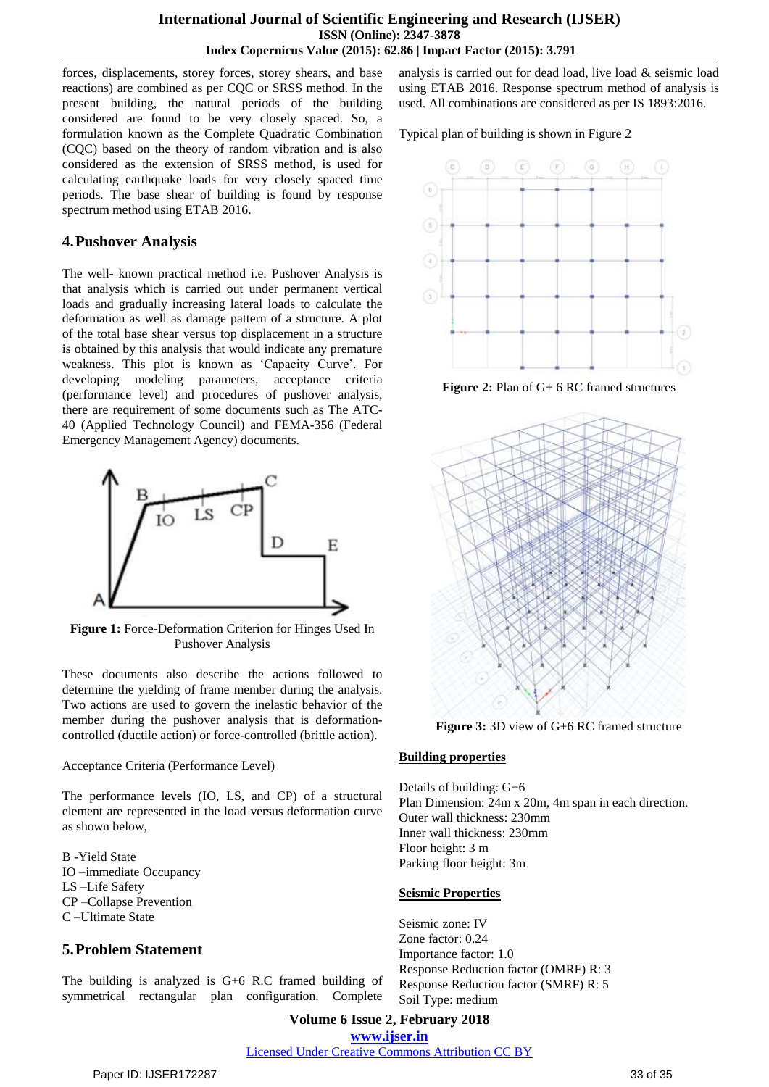#### **International Journal of Scientific Engineering and Research (IJSER) ISSN (Online): 2347-3878 Index Copernicus Value (2015): 62.86 | Impact Factor (2015): 3.791**

forces, displacements, storey forces, storey shears, and base reactions) are combined as per CQC or SRSS method. In the present building, the natural periods of the building considered are found to be very closely spaced. So, a formulation known as the Complete Quadratic Combination (CQC) based on the theory of random vibration and is also considered as the extension of SRSS method, is used for calculating earthquake loads for very closely spaced time periods. The base shear of building is found by response spectrum method using ETAB 2016.

## **4.Pushover Analysis**

The well- known practical method i.e. Pushover Analysis is that analysis which is carried out under permanent vertical loads and gradually increasing lateral loads to calculate the deformation as well as damage pattern of a structure. A plot of the total base shear versus top displacement in a structure is obtained by this analysis that would indicate any premature weakness. This plot is known as 'Capacity Curve'. For developing modeling parameters, acceptance criteria (performance level) and procedures of pushover analysis, there are requirement of some documents such as The ATC-40 (Applied Technology Council) and FEMA-356 (Federal Emergency Management Agency) documents.



**Figure 1:** Force-Deformation Criterion for Hinges Used In Pushover Analysis

These documents also describe the actions followed to determine the yielding of frame member during the analysis. Two actions are used to govern the inelastic behavior of the member during the pushover analysis that is deformationcontrolled (ductile action) or force-controlled (brittle action).

#### Acceptance Criteria (Performance Level)

The performance levels (IO, LS, and CP) of a structural element are represented in the load versus deformation curve as shown below,

B -Yield State IO –immediate Occupancy LS –Life Safety CP –Collapse Prevention C –Ultimate State

## **5.Problem Statement**

The building is analyzed is G+6 R.C framed building of symmetrical rectangular plan configuration. Complete analysis is carried out for dead load, live load & seismic load using ETAB 2016. Response spectrum method of analysis is used. All combinations are considered as per IS 1893:2016.

Typical plan of building is shown in Figure 2



**Figure 2:** Plan of G+ 6 RC framed structures



**Figure 3:** 3D view of G+6 RC framed structure

## **Building properties**

Details of building: G+6 Plan Dimension: 24m x 20m, 4m span in each direction. Outer wall thickness: 230mm Inner wall thickness: 230mm Floor height: 3 m Parking floor height: 3m

### **Seismic Properties**

Seismic zone: IV Zone factor: 0.24 Importance factor: 1.0 Response Reduction factor (OMRF) R: 3 Response Reduction factor (SMRF) R: 5 Soil Type: medium

**Volume 6 Issue 2, February 2018 [www.ijser.in](file:///G:\www.ijser.in\Documents\www.ijser.in)** [Licensed Under Creative Commons Attribution CC BY](http://creativecommons.org/licenses/by/4.0/)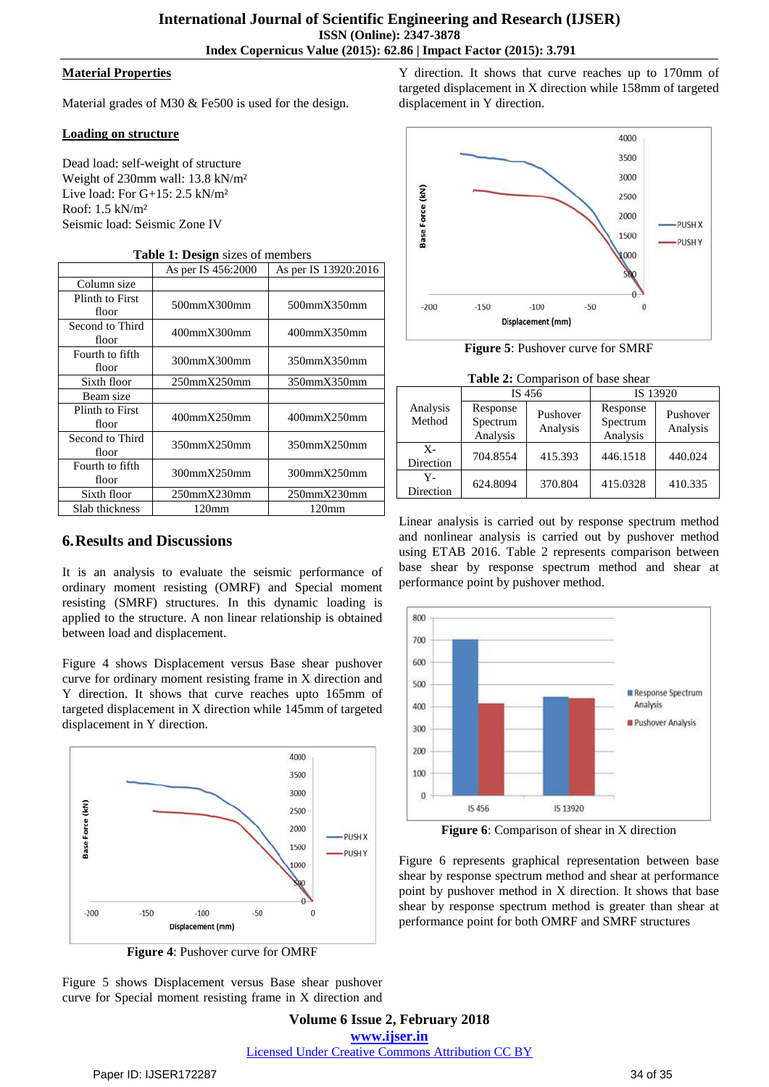#### **Material Properties**

Material grades of M30 & Fe500 is used for the design.

#### **Loading on structure**

Dead load: self-weight of structure Weight of 230mm wall: 13.8 kN/m² Live load: For G+15: 2.5 kN/m² Roof: 1.5 kN/m² Seismic load: Seismic Zone IV

| <b>Table 1: Design</b> sizes of members |                    |                      |  |  |  |
|-----------------------------------------|--------------------|----------------------|--|--|--|
|                                         | As per IS 456:2000 | As per IS 13920:2016 |  |  |  |
| Column size                             |                    |                      |  |  |  |
| Plinth to First<br>floor                | 500mmX300mm        | 500mmX350mm          |  |  |  |
| Second to Third<br>floor                | 400mmX300mm        | 400mmX350mm          |  |  |  |
| Fourth to fifth<br>floor                | 300mmX300mm        | 350mmX350mm          |  |  |  |
| Sixth floor                             | $250$ mm $X250$ mm | 350mmX350mm          |  |  |  |
| Beam size                               |                    |                      |  |  |  |
| Plinth to First<br>floor                | 400mmX250mm        | $400$ mm $X250$ mm   |  |  |  |
| Second to Third<br>floor                | 350mmX250mm        | 350mmX250mm          |  |  |  |
| Fourth to fifth<br>floor                | 300mmX250mm        | 300mmX250mm          |  |  |  |
| Sixth floor                             | $250$ mm $X230$ mm | $250$ mm $X230$ mm   |  |  |  |
| Slab thickness                          | 120 <sub>mm</sub>  | 120 <sub>mm</sub>    |  |  |  |

## **6.Results and Discussions**

It is an analysis to evaluate the seismic performance of ordinary moment resisting (OMRF) and Special moment resisting (SMRF) structures. In this dynamic loading is applied to the structure. A non linear relationship is obtained between load and displacement.

Figure 4 shows Displacement versus Base shear pushover curve for ordinary moment resisting frame in X direction and Y direction. It shows that curve reaches upto 165mm of targeted displacement in X direction while 145mm of targeted displacement in Y direction.



**Figure 4**: Pushover curve for OMRF

Figure 5 shows Displacement versus Base shear pushover curve for Special moment resisting frame in X direction and Y direction. It shows that curve reaches up to 170mm of targeted displacement in X direction while 158mm of targeted displacement in Y direction.



**Figure 5**: Pushover curve for SMRF

**Table 2:** Comparison of base shear

|                    | IS 456                           |                      | IS 13920                         |                      |  |
|--------------------|----------------------------------|----------------------|----------------------------------|----------------------|--|
| Analysis<br>Method | Response<br>Spectrum<br>Analysis | Pushover<br>Analysis | Response<br>Spectrum<br>Analysis | Pushover<br>Analysis |  |
| $X-$<br>Direction  | 704.8554                         | 415.393              | 446.1518                         | 440.024              |  |
| Y-<br>Direction    | 624.8094                         | 370.804              | 415.0328                         | 410.335              |  |

Linear analysis is carried out by response spectrum method and nonlinear analysis is carried out by pushover method using ETAB 2016. Table 2 represents comparison between base shear by response spectrum method and shear at performance point by pushover method.



**Figure 6**: Comparison of shear in X direction

Figure 6 represents graphical representation between base shear by response spectrum method and shear at performance point by pushover method in X direction. It shows that base shear by response spectrum method is greater than shear at performance point for both OMRF and SMRF structures

**Volume 6 Issue 2, February 2018 [www.ijser.in](file:///G:\www.ijser.in\Documents\www.ijser.in)** [Licensed Under Creative Commons Attribution CC BY](http://creativecommons.org/licenses/by/4.0/)